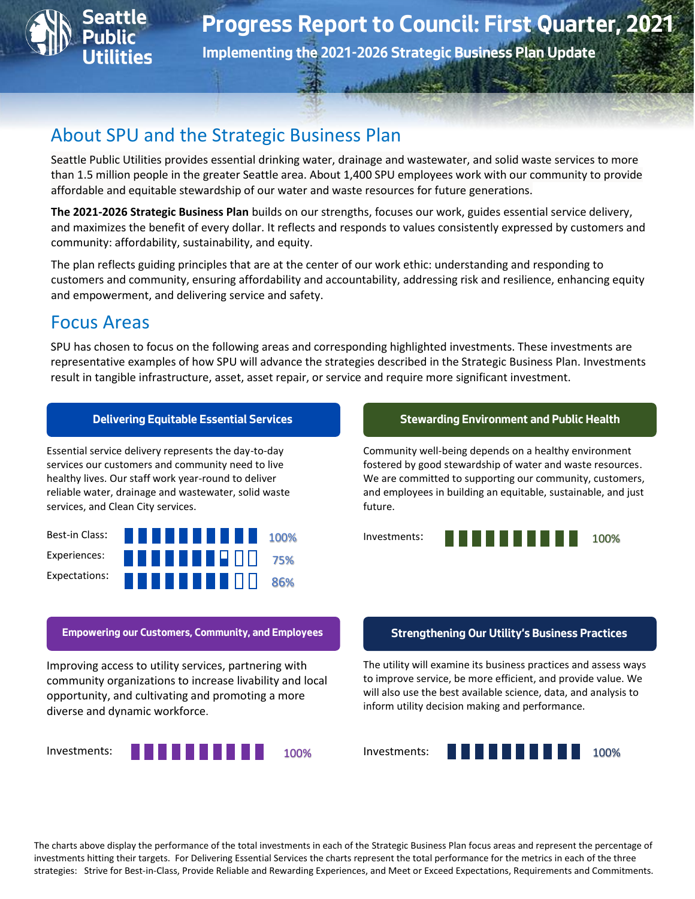

**Implementing the 2021-2026 Strategic Business Plan Update**

# About SPU and the Strategic Business Plan

Seattle Public Utilities provides essential drinking water, drainage and wastewater, and solid waste services to more than 1.5 million people in the greater Seattle area. About 1,400 SPU employees work with our community to provide affordable and equitable stewardship of our water and waste resources for future generations.

**The 2021-2026 Strategic Business Plan** builds on our strengths, focuses our work, guides essential service delivery, and maximizes the benefit of every dollar. It reflects and responds to values consistently expressed by customers and community: affordability, sustainability, and equity.

The plan reflects guiding principles that are at the center of our work ethic: understanding and responding to customers and community, ensuring affordability and accountability, addressing risk and resilience, enhancing equity and empowerment, and delivering service and safety.

# Focus Areas

SPU has chosen to focus on the following areas and corresponding highlighted investments. These investments are representative examples of how SPU will advance the strategies described in the Strategic Business Plan. Investments result in tangible infrastructure, asset, asset repair, or service and require more significant investment.

Essential service delivery represents the day-to-day services our customers and community need to live healthy lives. Our staff work year-round to deliver reliable water, drainage and wastewater, solid waste services, and Clean City services.



### **Delivering Equitable Essential Services Stewarding Environment and Public Health**

Community well-being depends on a healthy environment fostered by good stewardship of water and waste resources. We are committed to supporting our community, customers, and employees in building an equitable, sustainable, and just future.



### **Empowering our Customers, Community, and Employees Strengthening Our Utility's Business Practices**

Improving access to utility services, partnering with community organizations to increase livability and local opportunity, and cultivating and promoting a more diverse and dynamic workforce.



The utility will examine its business practices and assess ways to improve service, be more efficient, and provide value. We will also use the best available science, data, and analysis to inform utility decision making and performance.



The charts above display the performance of the total investments in each of the Strategic Business Plan focus areas and represent the percentage of investments hitting their targets. For Delivering Essential Services the charts represent the total performance for the metrics in each of the three strategies: Strive for Best-in-Class, Provide Reliable and Rewarding Experiences, and Meet or Exceed Expectations, Requirements and Commitments.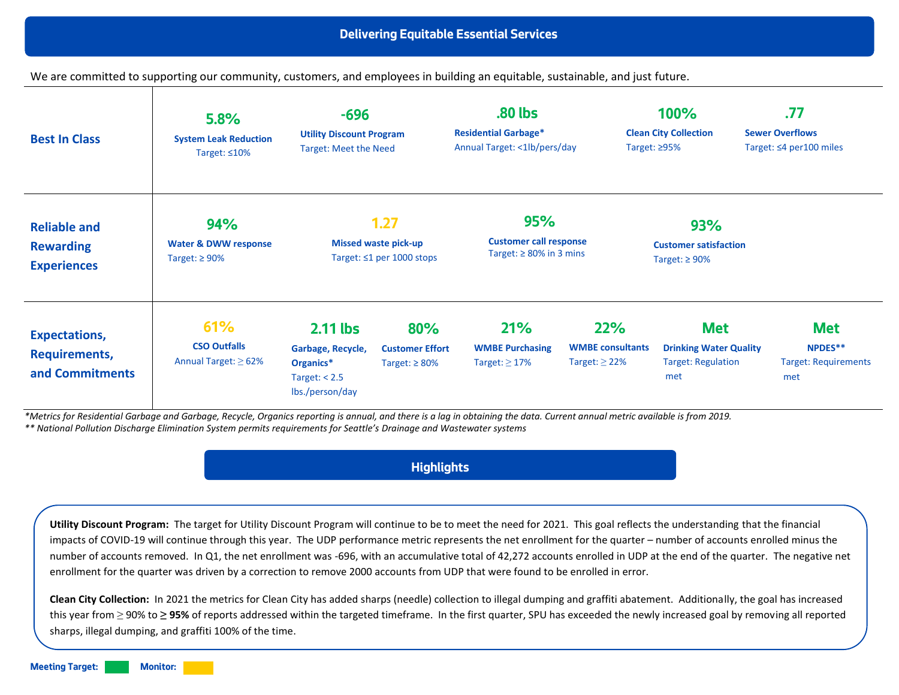We are committed to supporting our community, customers, and employees in building an equitable, sustainable, and just future.

| <b>Best In Class</b>                                            | 5.8%<br><b>System Leak Reduction</b><br>Target: $\leq 10\%$   | $-696$<br><b>Utility Discount Program</b><br><b>Target: Meet the Need</b>        |                                                                        | .80 lbs<br><b>Residential Garbage*</b><br>Annual Target: <1lb/pers/day       |                                                      | 100%<br><b>Clean City Collection</b><br>Target: $\geq$ 95%                      | .77<br><b>Sewer Overflows</b><br>Target: $\leq 4$ per 100 miles |
|-----------------------------------------------------------------|---------------------------------------------------------------|----------------------------------------------------------------------------------|------------------------------------------------------------------------|------------------------------------------------------------------------------|------------------------------------------------------|---------------------------------------------------------------------------------|-----------------------------------------------------------------|
| <b>Reliable and</b><br><b>Rewarding</b><br><b>Experiences</b>   | 94%<br><b>Water &amp; DWW response</b><br>Target: $\geq 90\%$ |                                                                                  | 1.27<br><b>Missed waste pick-up</b><br>Target: $\leq 1$ per 1000 stops | <b>95%</b><br><b>Customer call response</b><br>Target: $\geq 80\%$ in 3 mins |                                                      | 93%<br><b>Customer satisfaction</b><br>Target: $\geq 90\%$                      |                                                                 |
| <b>Expectations,</b><br><b>Requirements,</b><br>and Commitments | 61%<br><b>CSO Outfalls</b><br>Annual Target: $\geq 62\%$      | 2.11 lbs<br>Garbage, Recycle,<br>Organics*<br>Target: $< 2.5$<br>Ibs./person/day | 80%<br><b>Customer Effort</b><br>Target: $\geq 80\%$                   | 21%<br><b>WMBE Purchasing</b><br>Target: $\geq$ 17%                          | 22%<br><b>WMBE</b> consultants<br>Target: $\geq$ 22% | <b>Met</b><br><b>Drinking Water Quality</b><br><b>Target: Regulation</b><br>met | <b>Met</b><br>NPDES**<br><b>Target: Requirements</b><br>met     |

*\*Metrics for Residential Garbage and Garbage, Recycle, Organics reporting is annual, and there is a lag in obtaining the data. Current annual metric available is from 2019. \*\* National Pollution Discharge Elimination System permits requirements for Seattle's Drainage and Wastewater systems*

## **Highlights**

**Utility Discount Program:** The target for Utility Discount Program will continue to be to meet the need for 2021. This goal reflects the understanding that the financial impacts of COVID-19 will continue through this year. The UDP performance metric represents the net enrollment for the quarter – number of accounts enrolled minus the number of accounts removed. In Q1, the net enrollment was -696, with an accumulative total of 42,272 accounts enrolled in UDP at the end of the quarter. The negative net enrollment for the quarter was driven by a correction to remove 2000 accounts from UDP that were found to be enrolled in error.

**Clean City Collection:** In 2021 the metrics for Clean City has added sharps (needle) collection to illegal dumping and graffiti abatement. Additionally, the goal has increased this year from ≥ 90% to **≥ 95%** of reports addressed within the targeted timeframe. In the first quarter, SPU has exceeded the newly increased goal by removing all reported sharps, illegal dumping, and graffiti 100% of the time.

**Meeting Target: Monitor:**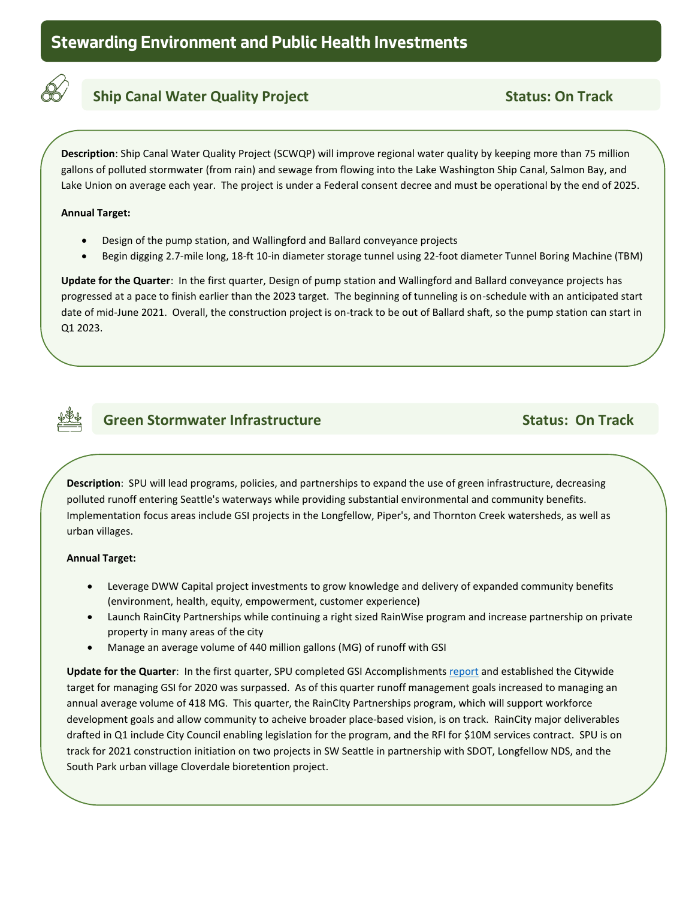

## **Ship Canal Water Quality Project Status: On Track** Status: On Track

**Description**: Ship Canal Water Quality Project (SCWQP) will improve regional water quality by keeping more than 75 million gallons of polluted stormwater (from rain) and sewage from flowing into the Lake Washington Ship Canal, Salmon Bay, and Lake Union on average each year. The project is under a Federal consent decree and must be operational by the end of 2025.

### **Annual Target:**

**track**

- Design of the pump station, and Wallingford and Ballard conveyance projects
- Begin digging 2.7-mile long, 18-ft 10-in diameter storage tunnel using 22-foot diameter Tunnel Boring Machine (TBM)

**Update for the Quarter**: In the first quarter, Design of pump station and Wallingford and Ballard conveyance projects has progressed at a pace to finish earlier than the 2023 target. The beginning of tunneling is on-schedule with an anticipated start date of mid-June 2021. Overall, the construction project is on-track to be out of Ballard shaft, so the pump station can start in Q1 2023.



## **Green Stormwater Infrastructure Community Community Community Community Community Community Community Community**

**Description**: SPU will lead programs, policies, and partnerships to expand the use of green infrastructure, decreasing polluted runoff entering Seattle's waterways while providing substantial environmental and community benefits.  Implementation focus areas include GSI projects in the Longfellow, Piper's, and Thornton Creek watersheds, as well as urban villages.

### **Annual Target:**

**track**

- Leverage DWW Capital project investments to grow knowledge and delivery of expanded community benefits (environment, health, equity, empowerment, customer experience)
- Launch RainCity Partnerships while continuing a right sized RainWise program and increase partnership on private property in many areas of the city
- Manage an average volume of 440 million gallons (MG) of runoff with GSI

**Update for the Quarter**: In the first quarter, SPU completed GSI Accomplishments [report](https://700milliongallons.org/wp-content/uploads/2020/09/21_0324_GSI_AnnualReport_web_Final.pdf) and established the Citywide target for managing GSI for 2020 was surpassed. As of this quarter runoff management goals increased to managing an annual average volume of 418 MG. This quarter, the RainCIty Partnerships program, which will support workforce development goals and allow community to acheive broader place-based vision, is on track. RainCity major deliverables drafted in Q1 include City Council enabling legislation for the program, and the RFI for \$10M services contract. SPU is on track for 2021 construction initiation on two projects in SW Seattle in partnership with SDOT, Longfellow NDS, and the South Park urban village Cloverdale bioretention project.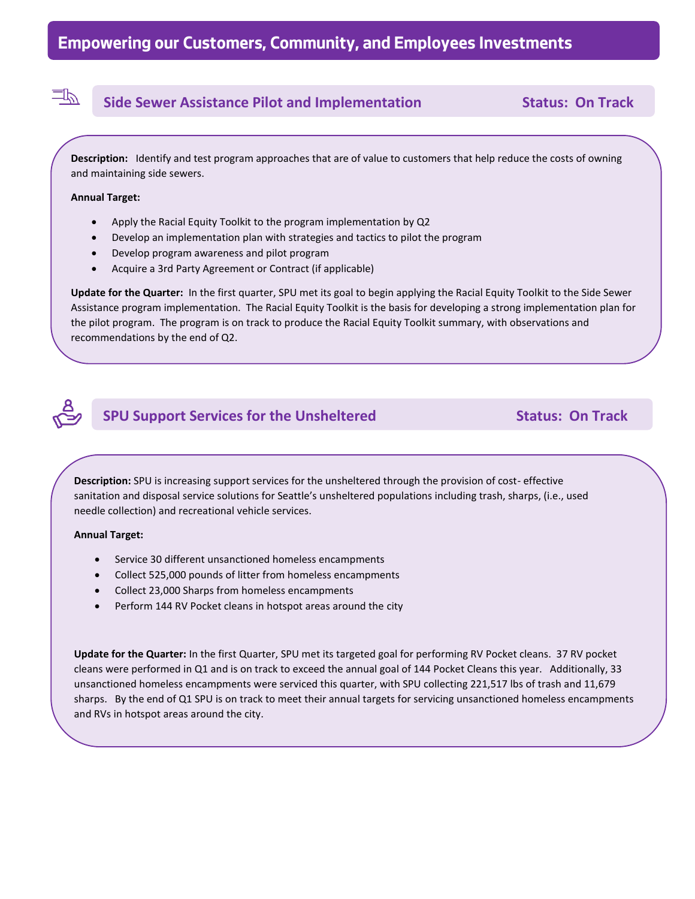## **Side Sewer Assistance Pilot and Implementation Status: On Track**

**Description:** Identify and test program approaches that are of value to customers that help reduce the costs of owning and maintaining side sewers.

#### **Annual Target:**

卫

**track**

- Apply the Racial Equity Toolkit to the program implementation by Q2
- Develop an implementation plan with strategies and tactics to pilot the program
- Develop program awareness and pilot program
- Acquire a 3rd Party Agreement or Contract (if applicable)

**Update for the Quarter:** In the first quarter, SPU met its goal to begin applying the Racial Equity Toolkit to the Side Sewer Assistance program implementation. The Racial Equity Toolkit is the basis for developing a strong implementation plan for the pilot program. The program is on track to produce the Racial Equity Toolkit summary, with observations and recommendations by the end of Q2.



## **SPU Support Services for the Unsheltered Status: On Track**

**Description:** SPU is increasing support services for the unsheltered through the provision of cost- effective sanitation and disposal service solutions for Seattle's unsheltered populations including trash, sharps, (i.e., used needle collection) and recreational vehicle services.

### **Annual Target:**

**track**

- Service 30 different unsanctioned homeless encampments
- Collect 525,000 pounds of litter from homeless encampments
- Collect 23,000 Sharps from homeless encampments
- Perform 144 RV Pocket cleans in hotspot areas around the city

**Update for the Quarter:** In the first Quarter, SPU met its targeted goal for performing RV Pocket cleans. 37 RV pocket cleans were performed in Q1 and is on track to exceed the annual goal of 144 Pocket Cleans this year. Additionally, 33 unsanctioned homeless encampments were serviced this quarter, with SPU collecting 221,517 lbs of trash and 11,679 sharps. By the end of Q1 SPU is on track to meet their annual targets for servicing unsanctioned homeless encampments and RVs in hotspot areas around the city.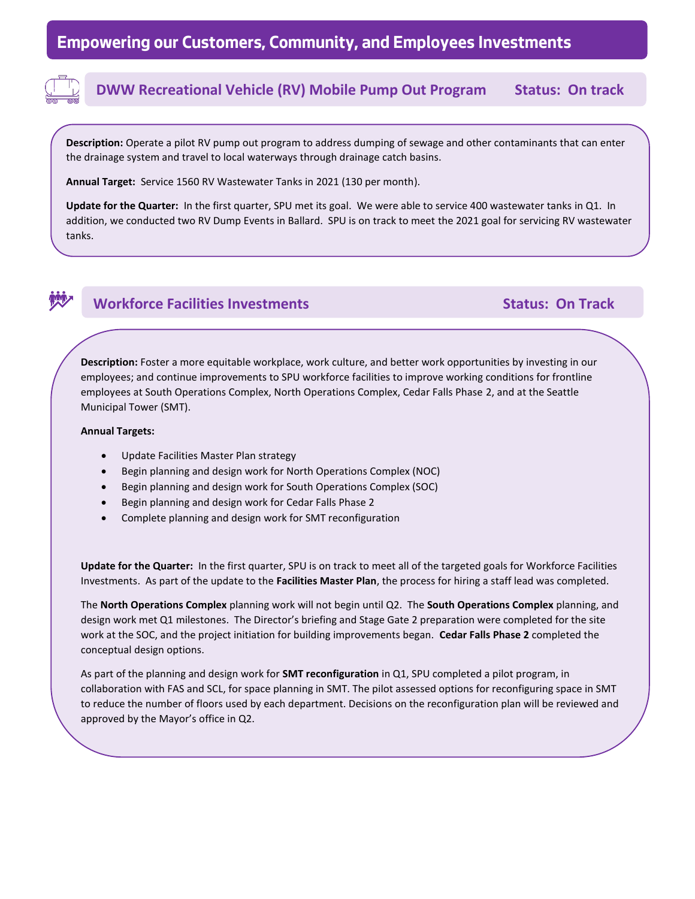

## **DWW Recreational Vehicle (RV) Mobile Pump Out Program Status: On track**

**Description:** Operate a pilot RV pump out program to address dumping of sewage and other contaminants that can enter the drainage system and travel to local waterways through drainage catch basins.

**Annual Target:** Service 1560 RV Wastewater Tanks in 2021 (130 per month).

**Update for the Quarter:** In the first quarter, SPU met its goal. We were able to service 400 wastewater tanks in Q1. In addition, we conducted two RV Dump Events in Ballard. SPU is on track to meet the 2021 goal for servicing RV wastewater tanks.



### **Workforce Facilities Investments Community Community Community Community Community Community Community Community**

**Description:** Foster a more equitable workplace, work culture, and better work opportunities by investing in our employees; and continue improvements to SPU workforce facilities to improve working conditions for frontline employees at South Operations Complex, North Operations Complex, Cedar Falls Phase 2, and at the Seattle Municipal Tower (SMT).

#### **Annual Targets:**

**track**

- Update Facilities Master Plan strategy
- Begin planning and design work for North Operations Complex (NOC)
- Begin planning and design work for South Operations Complex (SOC)
- Begin planning and design work for Cedar Falls Phase 2
- Complete planning and design work for SMT reconfiguration

**Update for the Quarter:** In the first quarter, SPU is on track to meet all of the targeted goals for Workforce Facilities Investments. As part of the update to the **Facilities Master Plan**, the process for hiring a staff lead was completed.

The **North Operations Complex** planning work will not begin until Q2. The **South Operations Complex** planning, and design work met Q1 milestones. The Director's briefing and Stage Gate 2 preparation were completed for the site work at the SOC, and the project initiation for building improvements began. **Cedar Falls Phase 2** completed the conceptual design options.

As part of the planning and design work for **SMT reconfiguration** in Q1, SPU completed a pilot program, in collaboration with FAS and SCL, for space planning in SMT. The pilot assessed options for reconfiguring space in SMT to reduce the number of floors used by each department. Decisions on the reconfiguration plan will be reviewed and approved by the Mayor's office in Q2.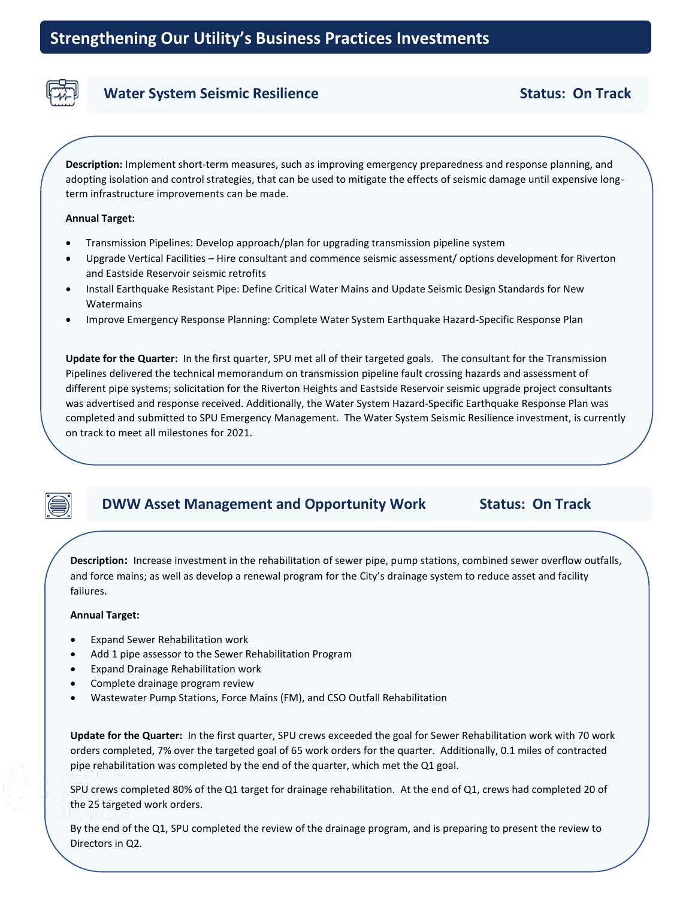

### **Water System Seismic Resilience Status: On Track**

**Description:** Implement short-term measures, such as improving emergency preparedness and response planning, and adopting isolation and control strategies, that can be used to mitigate the effects of seismic damage until expensive longterm infrastructure improvements can be made.

#### **Annual Target:**

- Transmission Pipelines: Develop approach/plan for upgrading transmission pipeline system
- Upgrade Vertical Facilities Hire consultant and commence seismic assessment/ options development for Riverton and Eastside Reservoir seismic retrofits
- Install Earthquake Resistant Pipe: Define Critical Water Mains and Update Seismic Design Standards for New Watermains
- Improve Emergency Response Planning: Complete Water System Earthquake Hazard-Specific Response Plan

**Update for the Quarter:** In the first quarter, SPU met all of their targeted goals. The consultant for the Transmission Pipelines delivered the technical memorandum on transmission pipeline fault crossing hazards and assessment of different pipe systems; solicitation for the Riverton Heights and Eastside Reservoir seismic upgrade project consultants was advertised and response received. Additionally, the Water System Hazard-Specific Earthquake Response Plan was completed and submitted to SPU Emergency Management. The Water System Seismic Resilience investment, is currently on track to meet all milestones for 2021.

## **DWW Asset Management and Opportunity Work Status: On Track**

and force mains; as well as develop a renewal program for the City's drainage system to reduce asset and facility failures. **Description:** Increase investment in the rehabilitation of sewer pipe, pump stations, combined sewer overflow outfalls,

#### **Annual Target:**

- Expand Sewer Rehabilitation work
- Add 1 pipe assessor to the Sewer Rehabilitation Program
- Expand Drainage Rehabilitation work
- Complete drainage program review
- Wastewater Pump Stations, Force Mains (FM), and CSO Outfall Rehabilitation

**Update for the Quarter:** In the first quarter, SPU crews exceeded the goal for Sewer Rehabilitation work with 70 work orders completed, 7% over the targeted goal of 65 work orders for the quarter. Additionally, 0.1 miles of contracted pipe rehabilitation was completed by the end of the quarter, which met the Q1 goal.

**Progress Art Concilist Arts:**<br>SPU crews completed 80% of the Q1 target for drainage rehabilitation. At the end of Q1, crews had completed 20 of **Implementing the 2021-2021-2026 Strategic Business Plan Updategic Business Plan Updategic Business Plan Update**<br>The 2021-2026 Strategic Business Plan Updategic Business Plan Updategic Business Plan Updategic Business Plan the 25 targeted work orders.

By the end of the Q1, SPU completed the review of the drainage program, and is preparing to present the review to Directors in Q2.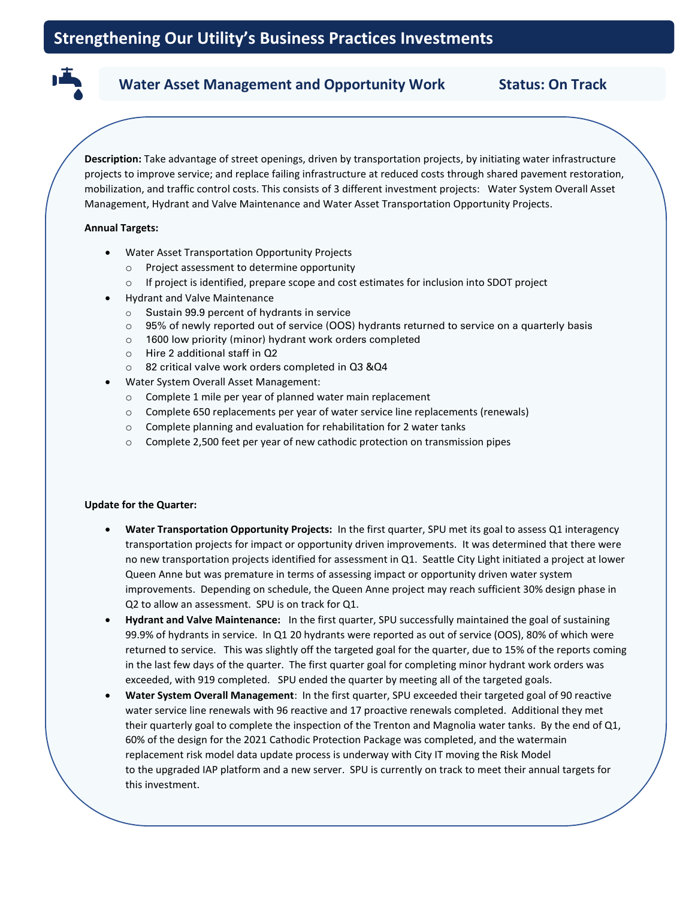# Water Asset Management and Opportunity Work **Status: On Track**

**Description:** Take advantage of street openings, driven by transportation projects, by initiating water infrastructure projects to improve service; and replace failing infrastructure at reduced costs through shared pavement restoration, mobilization, and traffic control costs. This consists of 3 different investment projects: Water System Overall Asset Management, Hydrant and Valve Maintenance and Water Asset Transportation Opportunity Projects.

### **Annual Targets:**

**Track**

- Water Asset Transportation Opportunity Projects
	- o Project assessment to determine opportunity
	- o If project is identified, prepare scope and cost estimates for inclusion into SDOT project
- Hydrant and Valve Maintenance
	- o Sustain 99.9 percent of hydrants in service
	- o 95% of newly reported out of service (OOS) hydrants returned to service on a quarterly basis
	- o 1600 low priority (minor) hydrant work orders completed
	- o Hire 2 additional staff in Q2
	- o 82 critical valve work orders completed in Q3 &Q4
- Water System Overall Asset Management:
	- o Complete 1 mile per year of planned water main replacement
	- o Complete 650 replacements per year of water service line replacements (renewals)
	- o Complete planning and evaluation for rehabilitation for 2 water tanks
	- o Complete 2,500 feet per year of new cathodic protection on transmission pipes

### **Update for the Quarter:**

- **Water Transportation Opportunity Projects:** In the first quarter, SPU met its goal to assess Q1 interagency transportation projects for impact or opportunity driven improvements. It was determined that there were no new transportation projects identified for assessment in Q1. Seattle City Light initiated a project at lower Queen Anne but was premature in terms of assessing impact or opportunity driven water system improvements. Depending on schedule, the Queen Anne project may reach sufficient 30% design phase in Q2 to allow an assessment. SPU is on track for Q1.
- **Hydrant and Valve Maintenance:** In the first quarter, SPU successfully maintained the goal of sustaining 99.9% of hydrants in service. In Q1 20 hydrants were reported as out of service (OOS), 80% of which were returned to service. This was slightly off the targeted goal for the quarter, due to 15% of the reports coming in the last few days of the quarter. The first quarter goal for completing minor hydrant work orders was exceeded, with 919 completed. SPU ended the quarter by meeting all of the targeted goals.
- **Water System Overall Management**: In the first quarter, SPU exceeded their targeted goal of 90 reactive water service line renewals with 96 reactive and 17 proactive renewals completed. Additional they met their quarterly goal to complete the inspection of the Trenton and Magnolia water tanks. By the end of Q1, 60% of the design for the 2021 Cathodic Protection Package was completed, and the watermain replacement risk model data update process is underway with City IT moving the Risk Model to the upgraded IAP platform and a new server. SPU is currently on track to meet their annual targets for this investment.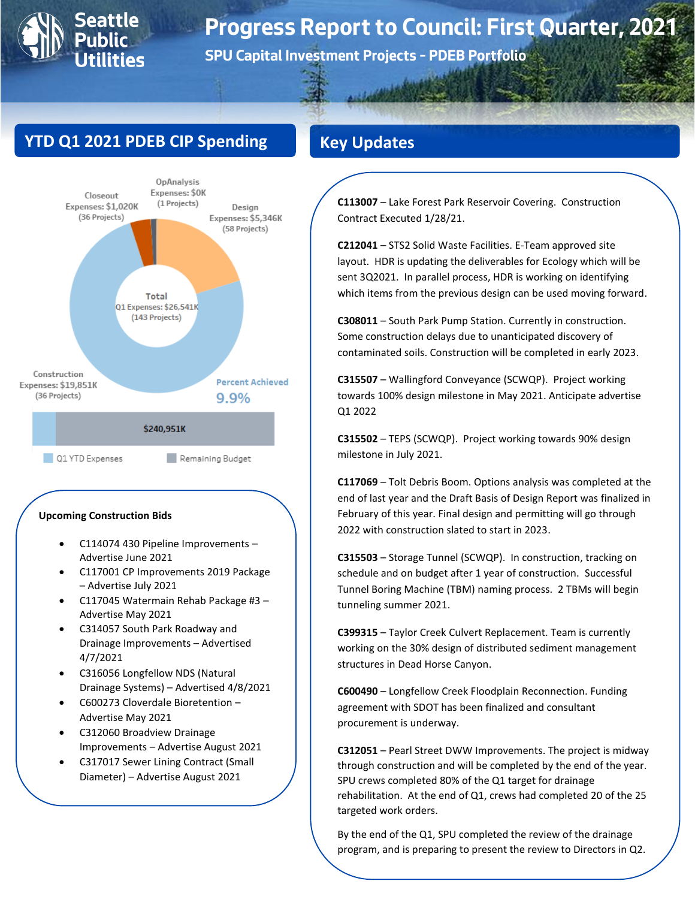

# **Progress Report to Council: First Quarter, 2021**

**SPU Capital Investment Projects – PDEB Portfolio**

# **YTD Q1 2021 PDEB CIP Spending**



#### **Upcoming Construction Bids**

- C114074 430 Pipeline Improvements Advertise June 2021
- C117001 CP Improvements 2019 Package – Advertise July 2021
- C117045 Watermain Rehab Package #3 Advertise May 2021
- C314057 South Park Roadway and Drainage Improvements – Advertised 4/7/2021
- C316056 Longfellow NDS (Natural Drainage Systems) – Advertised 4/8/2021
- C600273 Cloverdale Bioretention Advertise May 2021
- C312060 Broadview Drainage Improvements – Advertise August 2021
- C317017 Sewer Lining Contract (Small Diameter) – Advertise August 2021

# **Key Updates**

**C113007** – Lake Forest Park Reservoir Covering. Construction Contract Executed 1/28/21.

**C212041** – STS2 Solid Waste Facilities. E-Team approved site layout. HDR is updating the deliverables for Ecology which will be sent 3Q2021. In parallel process, HDR is working on identifying which items from the previous design can be used moving forward.

**C308011** – South Park Pump Station. Currently in construction. Some construction delays due to unanticipated discovery of contaminated soils. Construction will be completed in early 2023.

**C315507** – Wallingford Conveyance (SCWQP). Project working towards 100% design milestone in May 2021. Anticipate advertise Q1 2022

**C315502** – TEPS (SCWQP). Project working towards 90% design milestone in July 2021.

**C117069** – Tolt Debris Boom. Options analysis was completed at the end of last year and the Draft Basis of Design Report was finalized in February of this year. Final design and permitting will go through 2022 with construction slated to start in 2023.

**C315503** – Storage Tunnel (SCWQP). In construction, tracking on schedule and on budget after 1 year of construction. Successful Tunnel Boring Machine (TBM) naming process. 2 TBMs will begin tunneling summer 2021.

**C399315** – Taylor Creek Culvert Replacement. Team is currently working on the 30% design of distributed sediment management structures in Dead Horse Canyon.

**C600490** – Longfellow Creek Floodplain Reconnection. Funding agreement with SDOT has been finalized and consultant procurement is underway.

**C312051** – Pearl Street DWW Improvements. The project is midway through construction and will be completed by the end of the year. SPU crews completed 80% of the Q1 target for drainage rehabilitation. At the end of Q1, crews had completed 20 of the 25 targeted work orders.

By the end of the Q1, SPU completed the review of the drainage program, and is preparing to present the review to Directors in Q2.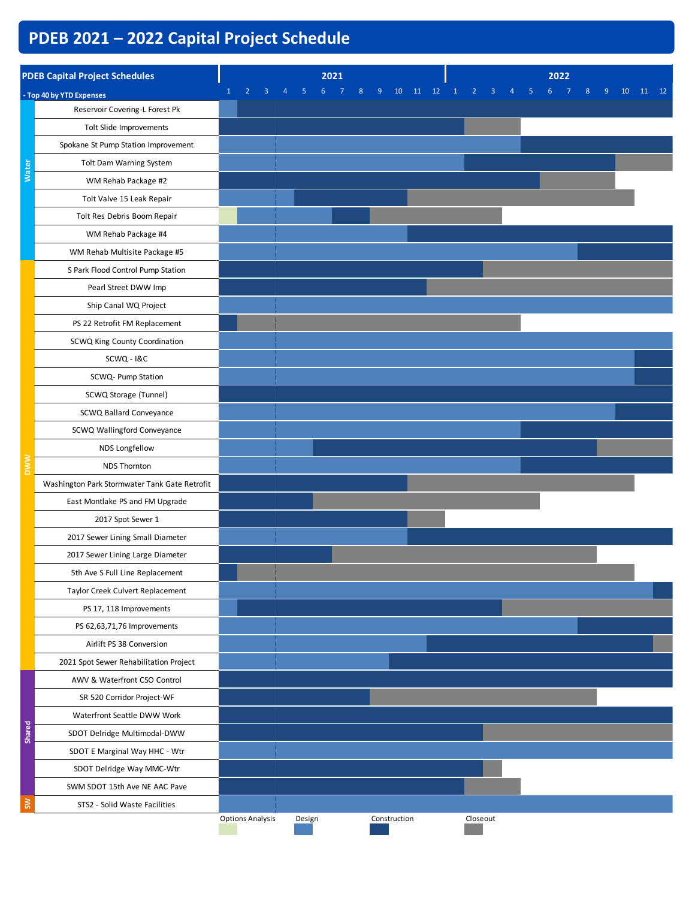# **PDEB 2021 – 2022 Capital Project Schedule**

|              | <b>PDEB Capital Project Schedules</b>         |                         |                     | 2021                |              |          |                                |                     |    | 2022 |   |         |          |
|--------------|-----------------------------------------------|-------------------------|---------------------|---------------------|--------------|----------|--------------------------------|---------------------|----|------|---|---------|----------|
|              | - Top 40 by YTD Expenses                      |                         | $\overline{4}$<br>5 | 6<br>$\overline{7}$ | 8<br>9       | 10 11 12 | $\mathbf{1}$<br>$\overline{2}$ | $\overline{3}$<br>4 | -5 | 6    | 8 | 9<br>10 | 11<br>12 |
|              | Reservoir Covering-L Forest Pk                |                         |                     |                     |              |          |                                |                     |    |      |   |         |          |
|              | Tolt Slide Improvements                       |                         |                     |                     |              |          |                                |                     |    |      |   |         |          |
|              | Spokane St Pump Station Improvement           |                         |                     |                     |              |          |                                |                     |    |      |   |         |          |
|              | Tolt Dam Warning System                       |                         |                     |                     |              |          |                                |                     |    |      |   |         |          |
| <b>Water</b> | WM Rehab Package #2                           |                         |                     |                     |              |          |                                |                     |    |      |   |         |          |
|              | Tolt Valve 15 Leak Repair                     |                         |                     |                     |              |          |                                |                     |    |      |   |         |          |
|              | Tolt Res Debris Boom Repair                   |                         |                     |                     |              |          |                                |                     |    |      |   |         |          |
|              | WM Rehab Package #4                           |                         |                     |                     |              |          |                                |                     |    |      |   |         |          |
|              | WM Rehab Multisite Package #5                 |                         |                     |                     |              |          |                                |                     |    |      |   |         |          |
|              | S Park Flood Control Pump Station             |                         |                     |                     |              |          |                                |                     |    |      |   |         |          |
|              | Pearl Street DWW Imp                          |                         |                     |                     |              |          |                                |                     |    |      |   |         |          |
|              | Ship Canal WQ Project                         |                         |                     |                     |              |          |                                |                     |    |      |   |         |          |
|              | PS 22 Retrofit FM Replacement                 |                         |                     |                     |              |          |                                |                     |    |      |   |         |          |
|              | SCWQ King County Coordination                 |                         |                     |                     |              |          |                                |                     |    |      |   |         |          |
|              | SCWQ - I&C                                    |                         |                     |                     |              |          |                                |                     |    |      |   |         |          |
|              | SCWQ- Pump Station                            |                         |                     |                     |              |          |                                |                     |    |      |   |         |          |
|              | SCWQ Storage (Tunnel)                         |                         |                     |                     |              |          |                                |                     |    |      |   |         |          |
|              | SCWQ Ballard Conveyance                       |                         |                     |                     |              |          |                                |                     |    |      |   |         |          |
|              | SCWQ Wallingford Conveyance                   |                         |                     |                     |              |          |                                |                     |    |      |   |         |          |
|              | NDS Longfellow                                |                         |                     |                     |              |          |                                |                     |    |      |   |         |          |
|              | <b>NDS Thornton</b>                           |                         |                     |                     |              |          |                                |                     |    |      |   |         |          |
|              | Washington Park Stormwater Tank Gate Retrofit |                         |                     |                     |              |          |                                |                     |    |      |   |         |          |
|              | East Montlake PS and FM Upgrade               |                         |                     |                     |              |          |                                |                     |    |      |   |         |          |
|              | 2017 Spot Sewer 1                             |                         |                     |                     |              |          |                                |                     |    |      |   |         |          |
|              | 2017 Sewer Lining Small Diameter              |                         |                     |                     |              |          |                                |                     |    |      |   |         |          |
|              | 2017 Sewer Lining Large Diameter              |                         |                     |                     |              |          |                                |                     |    |      |   |         |          |
|              | 5th Ave S Full Line Replacement               |                         |                     |                     |              |          |                                |                     |    |      |   |         |          |
|              | Taylor Creek Culvert Replacement              |                         |                     |                     |              |          |                                |                     |    |      |   |         |          |
|              | PS 17, 118 Improvements                       |                         |                     |                     |              |          |                                |                     |    |      |   |         |          |
|              | PS 62,63,71,76 Improvements                   |                         |                     |                     |              |          |                                |                     |    |      |   |         |          |
|              | Airlift PS 38 Conversion                      |                         |                     |                     |              |          |                                |                     |    |      |   |         |          |
|              | 2021 Spot Sewer Rehabilitation Project        |                         |                     |                     |              |          |                                |                     |    |      |   |         |          |
|              | AWV & Waterfront CSO Control                  |                         |                     |                     |              |          |                                |                     |    |      |   |         |          |
|              | SR 520 Corridor Project-WF                    |                         |                     |                     |              |          |                                |                     |    |      |   |         |          |
|              | Waterfront Seattle DWW Work                   |                         |                     |                     |              |          |                                |                     |    |      |   |         |          |
| Shared       | SDOT Delridge Multimodal-DWW                  |                         |                     |                     |              |          |                                |                     |    |      |   |         |          |
|              | SDOT E Marginal Way HHC - Wtr                 |                         |                     |                     |              |          |                                |                     |    |      |   |         |          |
|              | SDOT Delridge Way MMC-Wtr                     |                         |                     |                     |              |          |                                |                     |    |      |   |         |          |
|              | SWM SDOT 15th Ave NE AAC Pave                 |                         |                     |                     |              |          |                                |                     |    |      |   |         |          |
| $\mathsf{S}$ | STS2 - Solid Waste Facilities                 |                         |                     |                     |              |          |                                |                     |    |      |   |         |          |
|              |                                               | <b>Options Analysis</b> | Design              |                     | Construction |          |                                | Closeout            |    |      |   |         |          |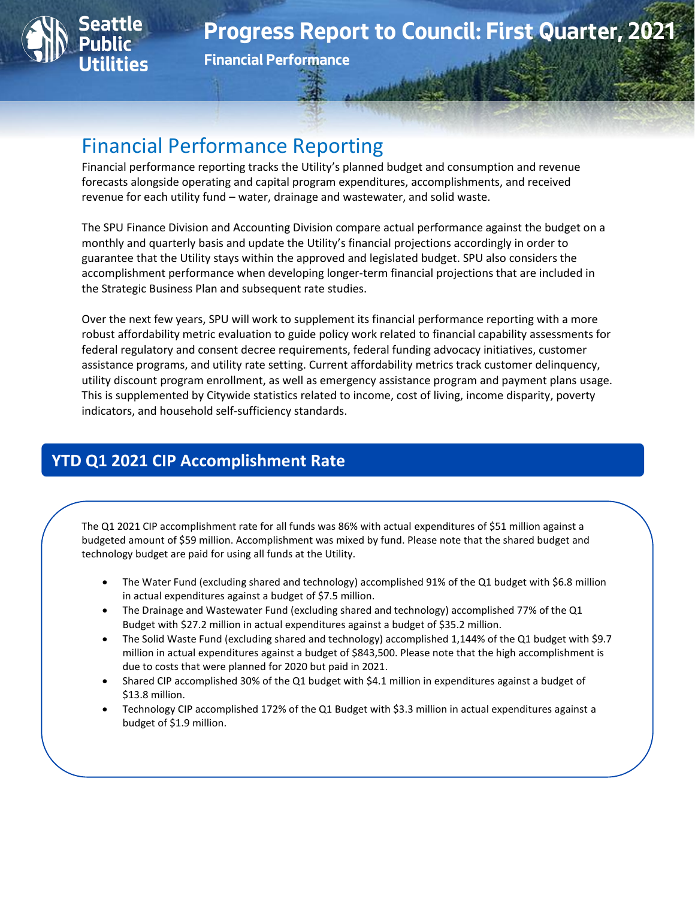

**Financial Performance**

# Financial Performance Reporting

Financial performance reporting tracks the Utility's planned budget and consumption and revenue forecasts alongside operating and capital program expenditures, accomplishments, and received revenue for each utility fund – water, drainage and wastewater, and solid waste.

The SPU Finance Division and Accounting Division compare actual performance against the budget on a monthly and quarterly basis and update the Utility's financial projections accordingly in order to guarantee that the Utility stays within the approved and legislated budget. SPU also considers the accomplishment performance when developing longer-term financial projections that are included in the Strategic Business Plan and subsequent rate studies.

Over the next few years, SPU will work to supplement its financial performance reporting with a more robust affordability metric evaluation to guide policy work related to financial capability assessments for federal regulatory and consent decree requirements, federal funding advocacy initiatives, customer assistance programs, and utility rate setting. Current affordability metrics track customer delinquency, utility discount program enrollment, as well as emergency assistance program and payment plans usage. This is supplemented by Citywide statistics related to income, cost of living, income disparity, poverty indicators, and household self-sufficiency standards.

# **YTD Q1 2021 CIP Accomplishment Rate**

The Q1 2021 CIP accomplishment rate for all funds was 86% with actual expenditures of \$51 million against a budgeted amount of \$59 million. Accomplishment was mixed by fund. Please note that the shared budget and technology budget are paid for using all funds at the Utility.

- The Water Fund (excluding shared and technology) accomplished 91% of the Q1 budget with \$6.8 million in actual expenditures against a budget of \$7.5 million.
- The Drainage and Wastewater Fund (excluding shared and technology) accomplished 77% of the Q1 Budget with \$27.2 million in actual expenditures against a budget of \$35.2 million.
- The Solid Waste Fund (excluding shared and technology) accomplished 1,144% of the Q1 budget with \$9.7 million in actual expenditures against a budget of \$843,500. Please note that the high accomplishment is due to costs that were planned for 2020 but paid in 2021.
- Shared CIP accomplished 30% of the Q1 budget with \$4.1 million in expenditures against a budget of \$13.8 million.
- Technology CIP accomplished 172% of the Q1 Budget with \$3.3 million in actual expenditures against a budget of \$1.9 million.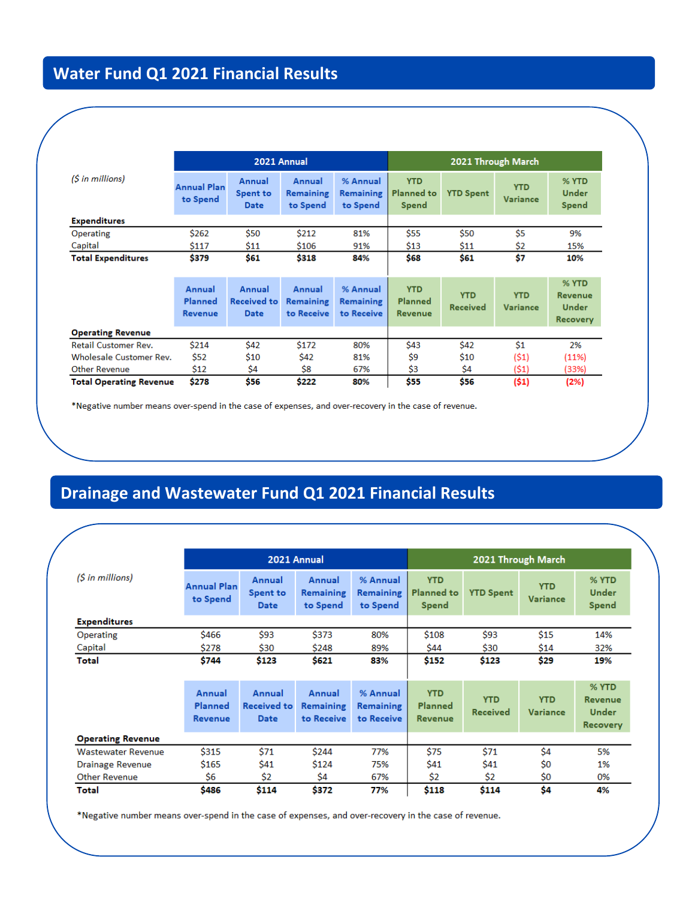# **Water Fund Q1 2021 Financial Results**

|                                |                                |                                             | 2021 Annual                              |                                            | 2021 Through March                       |                               |                               |                                                     |  |
|--------------------------------|--------------------------------|---------------------------------------------|------------------------------------------|--------------------------------------------|------------------------------------------|-------------------------------|-------------------------------|-----------------------------------------------------|--|
| $(S \in \mathbb{N})$           | <b>Annual Plan</b><br>to Spend | Annual<br><b>Spent to</b><br><b>Date</b>    | Annual<br><b>Remaining</b><br>to Spend   | % Annual<br><b>Remaining</b><br>to Spend   | <b>YTD</b><br><b>Planned to</b><br>Spend | <b>YTD Spent</b>              | <b>YTD</b><br><b>Variance</b> | % YTD<br><b>Under</b><br>Spend                      |  |
| <b>Expenditures</b>            |                                |                                             |                                          |                                            |                                          |                               |                               |                                                     |  |
| Operating                      | \$262                          | \$50                                        | \$212                                    | 81%                                        | \$55                                     | \$50                          | Ś5                            | 9%                                                  |  |
| Capital                        | \$117                          | \$11                                        | \$106                                    | 91%                                        | \$13                                     | \$11                          | \$2                           | 15%                                                 |  |
| <b>Total Expenditures</b>      | \$379                          | \$61                                        | \$318                                    | 84%                                        | \$68                                     | \$61                          | \$7                           | 10%                                                 |  |
|                                | Annual<br>Planned<br>Revenue   | Annual<br><b>Received to</b><br><b>Date</b> | Annual<br><b>Remaining</b><br>to Receive | % Annual<br><b>Remaining</b><br>to Receive | <b>YTD</b><br><b>Planned</b><br>Revenue  | <b>YTD</b><br><b>Received</b> | <b>YTD</b><br><b>Variance</b> | % YTD<br>Revenue<br><b>Under</b><br><b>Recovery</b> |  |
| <b>Operating Revenue</b>       |                                |                                             |                                          |                                            |                                          |                               |                               |                                                     |  |
| <b>Retail Customer Rev.</b>    | \$214                          | \$42                                        | \$172                                    | 80%                                        | \$43                                     | \$42                          | \$1                           | 2%                                                  |  |
| <b>Wholesale Customer Rev.</b> | \$52                           | \$10                                        | \$42                                     | 81%                                        | Ś9                                       | \$10                          | (51)                          | (11%)                                               |  |
| <b>Other Revenue</b>           | \$12                           | \$4                                         | \$8                                      | 67%                                        | \$3                                      | \$4                           | (\$1)                         | (33%)                                               |  |
| <b>Total Operating Revenue</b> | \$278                          | <b>\$56</b>                                 | \$222                                    | 80%                                        | <b>\$55</b>                              | <b>\$56</b>                   | (\$1)                         | (2%)                                                |  |

\*Negative number means over-spend in the case of expenses, and over-recovery in the case of revenue.

# **Drainage and Wastewater Fund Q1 2021 Financial Results**

|                           |                                | 2021 Annual                              |                                        |                                          | 2021 Through March                       |                  |                               |                                 |
|---------------------------|--------------------------------|------------------------------------------|----------------------------------------|------------------------------------------|------------------------------------------|------------------|-------------------------------|---------------------------------|
| $(S \text{ in millions})$ | <b>Annual Plan</b><br>to Spend | Annual<br><b>Spent to</b><br><b>Date</b> | Annual<br><b>Remaining</b><br>to Spend | % Annual<br><b>Remaining</b><br>to Spend | <b>YTD</b><br><b>Planned to</b><br>Spend | <b>YTD Spent</b> | <b>YTD</b><br><b>Variance</b> | % YTD<br><b>Under</b><br>Spend  |
| <b>Expenditures</b>       |                                |                                          |                                        |                                          |                                          |                  |                               |                                 |
| Operating                 | \$466                          | \$93                                     | \$373                                  | 80%                                      | \$108                                    | \$93             | \$15                          | 14%                             |
| Capital                   | \$278                          | \$30                                     | \$248                                  | 89%                                      | \$44                                     | \$30             | \$14                          | 32%                             |
| Total                     | \$744                          | \$123                                    | \$621                                  | 83%                                      | \$152                                    | \$123            | \$29                          | 19%                             |
|                           | Annual<br><b>Planned</b>       | Annual<br><b>Received to</b>             | Annual                                 | % Annual                                 | <b>YTD</b>                               | <b>YTD</b>       | <b>YTD</b>                    | % YTD<br>Revenue                |
|                           | Revenue                        | <b>Date</b>                              | <b>Remaining</b><br>to Receive         | <b>Remaining</b><br>to Receive           | <b>Planned</b><br><b>Revenue</b>         | <b>Received</b>  | Variance                      | <b>Under</b><br><b>Recovery</b> |
| <b>Operating Revenue</b>  |                                |                                          |                                        |                                          |                                          |                  |                               |                                 |
| <b>Wastewater Revenue</b> | \$315                          | \$71                                     | \$244                                  | 77%                                      | \$75                                     | \$71             | Ś4                            | 5%                              |
| Drainage Revenue          | \$165                          | \$41                                     | \$124                                  | 75%                                      | \$41                                     | \$41             | \$0                           | 1%                              |
| <b>Other Revenue</b>      | Ś6                             | \$2                                      | \$4                                    | 67%                                      | \$2                                      | \$2              | \$0                           | 0%                              |

\*Negative number means over-spend in the case of expenses, and over-recovery in the case of revenue.